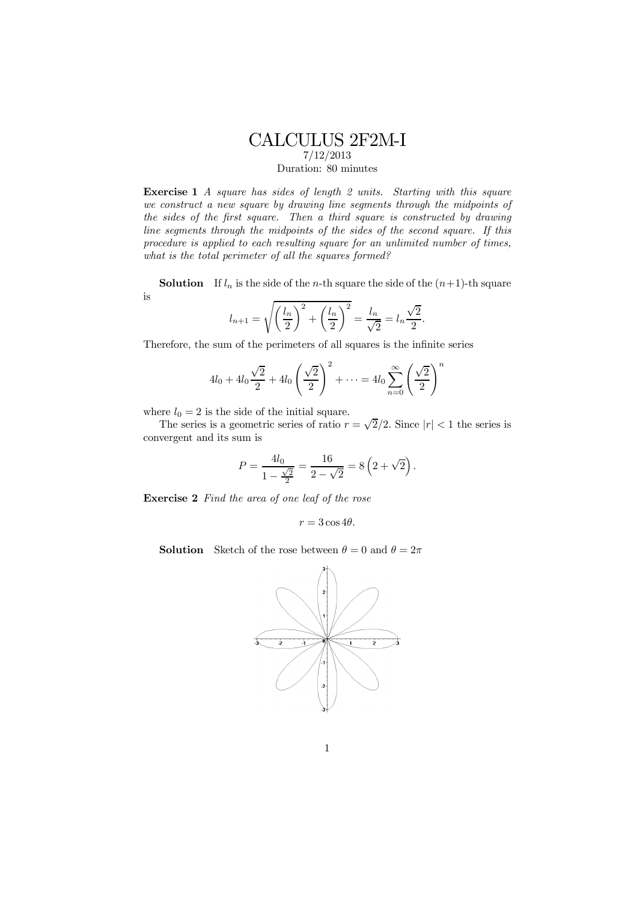## CALCULUS 2F2M-I 7/12/2013

Duration: 80 minutes

Exercise 1 A square has sides of length 2 units. Starting with this square we construct a new square by drawing line segments through the midpoints of the sides of the first square. Then a third square is constructed by drawing line segments through the midpoints of the sides of the second square. If this procedure is applied to each resulting square for an unlimited number of times, what is the total perimeter of all the squares formed?

**Solution** If  $l_n$  is the side of the *n*-th square the side of the  $(n+1)$ -th square is

$$
l_{n+1} = \sqrt{\left(\frac{l_n}{2}\right)^2 + \left(\frac{l_n}{2}\right)^2} = \frac{l_n}{\sqrt{2}} = l_n \frac{\sqrt{2}}{2}.
$$

Therefore, the sum of the perimeters of all squares is the infinite series

$$
4l_0 + 4l_0 \frac{\sqrt{2}}{2} + 4l_0 \left(\frac{\sqrt{2}}{2}\right)^2 + \dots = 4l_0 \sum_{n=0}^{\infty} \left(\frac{\sqrt{2}}{2}\right)^n
$$

where  $l_0 = 2$  is the side of the initial square.

The series is a geometric series of ratio  $r = \sqrt{2}/2$ . Since  $|r| < 1$  the series is convergent and its sum is

$$
P = \frac{4l_0}{1 - \frac{\sqrt{2}}{2}} = \frac{16}{2 - \sqrt{2}} = 8\left(2 + \sqrt{2}\right).
$$

Exercise 2 Find the area of one leaf of the rose

$$
r = 3\cos 4\theta.
$$

**Solution** Sketch of the rose between  $\theta = 0$  and  $\theta = 2\pi$ 

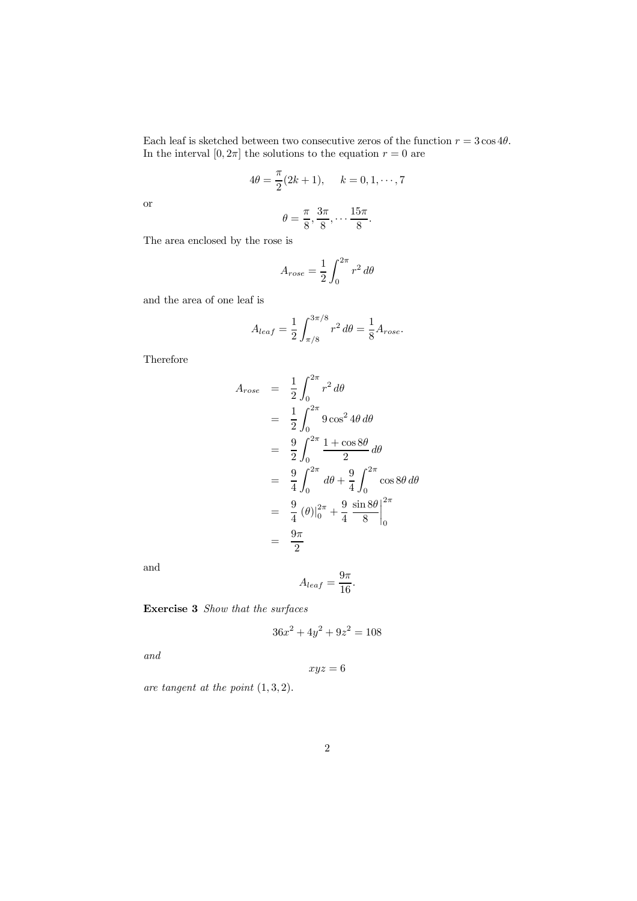Each leaf is sketched between two consecutive zeros of the function  $r = 3 \cos 4\theta$ . In the interval  $[0, 2\pi]$  the solutions to the equation  $r = 0$  are

$$
4\theta = \frac{\pi}{2}(2k+1), \quad k = 0, 1, \cdots, 7
$$

or

$$
\theta = \frac{\pi}{8}, \frac{3\pi}{8}, \cdots \frac{15\pi}{8}.
$$

The area enclosed by the rose is

$$
A_{rose} = \frac{1}{2} \int_0^{2\pi} r^2 d\theta
$$

and the area of one leaf is

$$
A_{leaf} = \frac{1}{2} \int_{\pi/8}^{3\pi/8} r^2 d\theta = \frac{1}{8} A_{rose}.
$$

Therefore

$$
A_{rose} = \frac{1}{2} \int_0^{2\pi} r^2 d\theta
$$
  
=  $\frac{1}{2} \int_0^{2\pi} 9 \cos^2 4\theta d\theta$   
=  $\frac{9}{2} \int_0^{2\pi} \frac{1 + \cos 8\theta}{2} d\theta$   
=  $\frac{9}{4} \int_0^{2\pi} d\theta + \frac{9}{4} \int_0^{2\pi} \cos 8\theta d\theta$   
=  $\frac{9}{4} (\theta) \Big|_0^{2\pi} + \frac{9}{4} \frac{\sin 8\theta}{8} \Big|_0^{2\pi}$   
=  $\frac{9\pi}{2}$ 

and

$$
A_{leaf} = \frac{9\pi}{16}.
$$

Exercise 3 Show that the surfaces

$$
36x^2 + 4y^2 + 9z^2 = 108
$$

and

$$
xyz=6
$$

are tangent at the point  $(1, 3, 2)$ .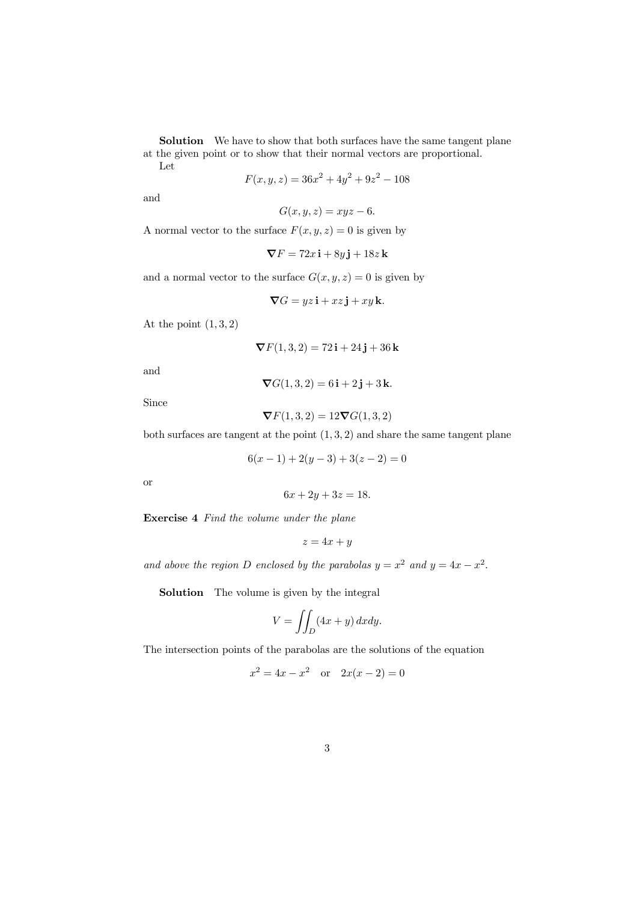Solution We have to show that both surfaces have the same tangent plane at the given point or to show that their normal vectors are proportional. Let

$$
F(x, y, z) = 36x^2 + 4y^2 + 9z^2 - 108
$$

and

$$
G(x, y, z) = xyz - 6.
$$

A normal vector to the surface  $F(x, y, z)=0$  is given by

$$
\nabla F = 72x\,\mathbf{i} + 8y\,\mathbf{j} + 18z\,\mathbf{k}
$$

and a normal vector to the surface  $G(x, y, z)=0$  is given by

$$
\nabla G = yz\,\mathbf{i} + xz\,\mathbf{j} + xy\,\mathbf{k}.
$$

At the point  $(1, 3, 2)$ 

$$
\nabla F(1,3,2) = 72\,\mathbf{i} + 24\,\mathbf{j} + 36\,\mathbf{k}
$$

and

 $\nabla G(1,3,2) = 6i + 2j + 3k.$ 

Since

$$
\boldsymbol{\nabla} F(1,3,2) = 12 \boldsymbol{\nabla} G(1,3,2)
$$

both surfaces are tangent at the point  $(1, 3, 2)$  and share the same tangent plane

$$
6(x-1) + 2(y-3) + 3(z-2) = 0
$$

or

$$
6x + 2y + 3z = 18.
$$

Exercise 4 Find the volume under the plane

$$
z = 4x + y
$$

and above the region D enclosed by the parabolas  $y = x^2$  and  $y = 4x - x^2$ .

Solution The volume is given by the integral

$$
V = \iint_D (4x + y) \, dx \, dy.
$$

The intersection points of the parabolas are the solutions of the equation

$$
x^2 = 4x - x^2 \quad \text{or} \quad 2x(x - 2) = 0
$$